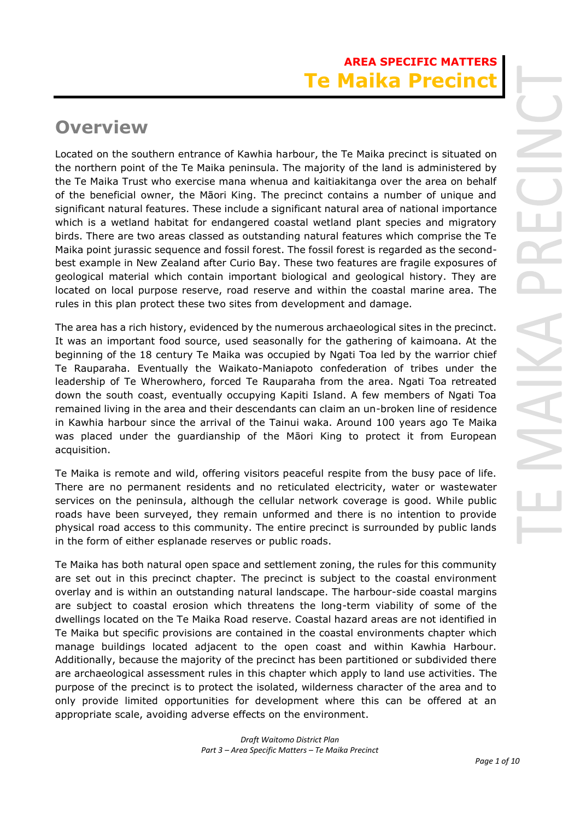# **AREA SPECIFIC MATTERS Te Maika Precino**

# **Overview**

Located on the southern entrance of Kawhia harbour, the Te Maika precinct is situated on the northern point of the Te Maika peninsula. The majority of the land is administered by the Te Maika Trust who exercise mana whenua and kaitiakitanga over the area on behalf of the beneficial owner, the Māori King. The precinct contains a number of unique and significant natural features. These include a significant natural area of national importance which is a wetland habitat for endangered coastal wetland plant species and migratory birds. There are two areas classed as outstanding natural features which comprise the Te Maika point jurassic sequence and fossil forest. The fossil forest is regarded as the secondbest example in New Zealand after Curio Bay. These two features are fragile exposures of geological material which contain important biological and geological history. They are located on local purpose reserve, road reserve and within the coastal marine area. The rules in this plan protect these two sites from development and damage.

The area has a rich history, evidenced by the numerous archaeological sites in the precinct. It was an important food source, used seasonally for the gathering of kaimoana. At the beginning of the 18 century Te Maika was occupied by Ngati Toa led by the warrior chief Te Rauparaha. Eventually the Waikato-Maniapoto confederation of tribes under the leadership of Te Wherowhero, forced Te Rauparaha from the area. Ngati Toa retreated down the south coast, eventually occupying Kapiti Island. A few members of Ngati Toa remained living in the area and their descendants can claim an un-broken line of residence in Kawhia harbour since the arrival of the Tainui waka. Around 100 years ago Te Maika was placed under the guardianship of the Māori King to protect it from European acquisition.

Te Maika is remote and wild, offering visitors peaceful respite from the busy pace of life. There are no permanent residents and no reticulated electricity, water or wastewater services on the peninsula, although the cellular network coverage is good. While public roads have been surveyed, they remain unformed and there is no intention to provide physical road access to this community. The entire precinct is surrounded by public lands in the form of either esplanade reserves or public roads.

Te Maika has both natural open space and settlement zoning, the rules for this community are set out in this precinct chapter. The precinct is subject to the coastal environment overlay and is within an outstanding natural landscape. The harbour-side coastal margins are subject to coastal erosion which threatens the long-term viability of some of the dwellings located on the Te Maika Road reserve. Coastal hazard areas are not identified in Te Maika but specific provisions are contained in the coastal environments chapter which manage buildings located adjacent to the open coast and within Kawhia Harbour. Additionally, because the majority of the precinct has been partitioned or subdivided there are archaeological assessment rules in this chapter which apply to land use activities. The purpose of the precinct is to protect the isolated, wilderness character of the area and to only provide limited opportunities for development where this can be offered at an appropriate scale, avoiding adverse effects on the environment.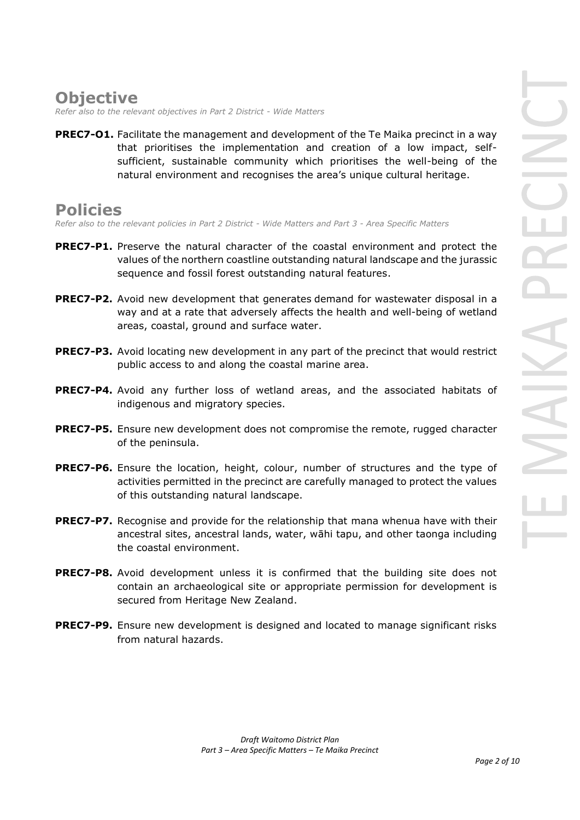# **Objective**

*Refer also to the relevant objectives in Part 2 District - Wide Matters* 

**PREC7-O1.** Facilitate the management and development of the Te Maika precinct in a way that prioritises the implementation and creation of a low impact, selfsufficient, sustainable community which prioritises the well-being of the natural environment and recognises the area's unique cultural heritage.

# **Policies**

*Refer also to the relevant policies in Part 2 District - Wide Matters and Part 3 - Area Specific Matters*

- **PREC7-P1.** Preserve the natural character of the coastal environment and protect the values of the northern coastline outstanding natural landscape and the jurassic sequence and fossil forest outstanding natural features.
- **PREC7-P2.** Avoid new development that generates demand for wastewater disposal in a way and at a rate that adversely affects the health and well-being of wetland areas, coastal, ground and surface water.
- **PREC7-P3.** Avoid locating new development in any part of the precinct that would restrict public access to and along the coastal marine area.
- **PREC7-P4.** Avoid any further loss of wetland areas, and the associated habitats of indigenous and migratory species.
- **PREC7-P5.** Ensure new development does not compromise the remote, rugged character of the peninsula.
- **PREC7-P6.** Ensure the location, height, colour, number of structures and the type of activities permitted in the precinct are carefully managed to protect the values of this outstanding natural landscape.
- **PREC7-P7.** Recognise and provide for the relationship that mana whenua have with their ancestral sites, ancestral lands, water, wāhi tapu, and other taonga including the coastal environment.
- **PREC7-P8.** Avoid development unless it is confirmed that the building site does not contain an archaeological site or appropriate permission for development is secured from Heritage New Zealand.
- **PREC7-P9.** Ensure new development is designed and located to manage significant risks from natural hazards.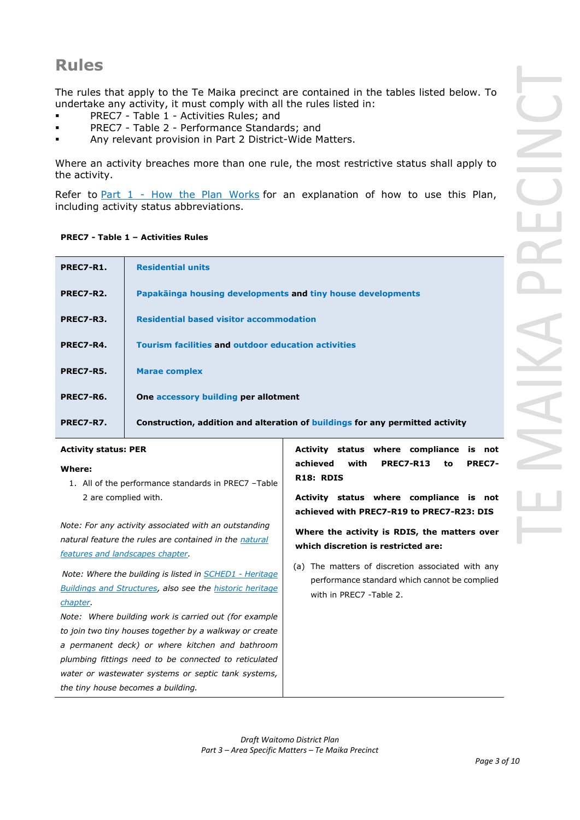# **Rules**

The rules that apply to the Te Maika precinct are contained in the tables listed below. To undertake any activity, it must comply with all the rules listed in:

- PREC7 Table 1 Activities Rules; and
- PREC7 Table 2 Performance Standards; and
- Any relevant provision in Part 2 District-Wide Matters.

Where an activity breaches more than one rule, the most restrictive status shall apply to the activity.

Refer to [Part 1](javascript:void(0)) - How the Plan Works for an explanation of how to use this Plan, including activity status abbreviations.

# **PREC7 - Table 1 – Activities Rules**

| PREC7-R1. | <b>Residential units</b>                                                      |
|-----------|-------------------------------------------------------------------------------|
| PREC7-R2. | Papakāinga housing developments and tiny house developments                   |
| PREC7-R3. | <b>Residential based visitor accommodation</b>                                |
| PREC7-R4. | <b>Tourism facilities and outdoor education activities</b>                    |
| PREC7-R5. | <b>Marae complex</b>                                                          |
| PREC7-R6. | One accessory building per allotment                                          |
| PREC7-R7. | Construction, addition and alteration of buildings for any permitted activity |

# **Activity status: PER**

# **Where:**

1. All of the performance standards in PREC7 –Table 2 are complied with.

*Note: For any activity associated with an outstanding natural feature the rules are contained in the natural features and landscapes chapter.*

*Note: Where the building is listed in SCHED1 - Heritage Buildings and Structures, also see the historic heritage chapter.*

*Note: Where building work is carried out (for example to join two tiny houses together by a walkway or create a permanent deck) or where kitchen and bathroom plumbing fittings need to be connected to reticulated water or wastewater systems or septic tank systems, the tiny house becomes a building.*

**Activity status where compliance is not achieved with PREC7-R13 to PREC7- R18: RDIS**

**Activity status where compliance is not achieved with PREC7-R19 to PREC7-R23: DIS** 

**Where the activity is RDIS, the matters over which discretion is restricted are:**

(a) The matters of discretion associated with any performance standard which cannot be complied with in PREC7 -Table 2.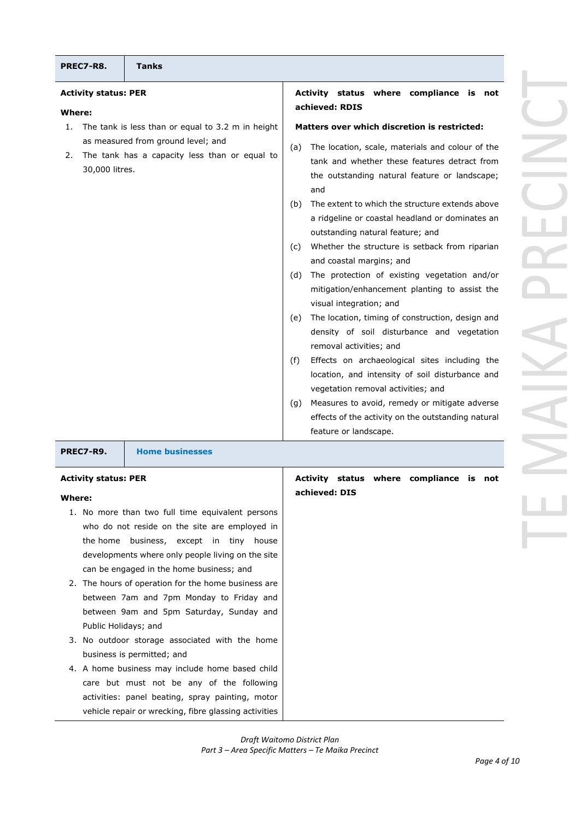| where compliance<br>is<br>S<br>not<br>5                                                                                                 |
|-----------------------------------------------------------------------------------------------------------------------------------------|
| hich discretion is restricted:                                                                                                          |
| , scale, materials and colour of the<br>nether these features detract from<br>ding natural feature or landscape;                        |
| o which the structure extends above<br>r coastal headland or dominates an<br>natural feature; and<br>structure is setback from riparian |
| margins; and<br>ion of existing vegetation and/or<br>nhancement planting to assist the<br>ation; and                                    |
| , timing of construction, design and<br>soil disturbance and vegetation<br>vities; and                                                  |
| archaeological sites including the<br>d intensity of soil disturbance and<br>emoval activities; and                                     |
| avoid, remedy or mitigate adverse<br>e activity on the outstanding natural<br>ndscape.                                                  |
|                                                                                                                                         |
| where compliance is<br>lS.<br>not                                                                                                       |
|                                                                                                                                         |
|                                                                                                                                         |

| PREC7-R8.                            | <b>Tanks</b>                                                                                                                                                  |                                                                                                                                                                                                                                                                                                                                                                                                                                                                                                                                                                                                                                                                                                                                                                                                                                                                                                                                                                                                                      |
|--------------------------------------|---------------------------------------------------------------------------------------------------------------------------------------------------------------|----------------------------------------------------------------------------------------------------------------------------------------------------------------------------------------------------------------------------------------------------------------------------------------------------------------------------------------------------------------------------------------------------------------------------------------------------------------------------------------------------------------------------------------------------------------------------------------------------------------------------------------------------------------------------------------------------------------------------------------------------------------------------------------------------------------------------------------------------------------------------------------------------------------------------------------------------------------------------------------------------------------------|
| <b>Activity status: PER</b>          |                                                                                                                                                               | Activity status where compliance is not<br>achieved: RDIS                                                                                                                                                                                                                                                                                                                                                                                                                                                                                                                                                                                                                                                                                                                                                                                                                                                                                                                                                            |
| Where:<br>1.<br>2.<br>30,000 litres. | The tank is less than or equal to 3.2 m in height<br>as measured from ground level; and<br>The tank has a capacity less than or equal to<br><b>COLLECTION</b> | Matters over which discretion is restricted:<br>The location, scale, materials and colour of the<br>(a)<br>tank and whether these features detract from<br>the outstanding natural feature or landscape;<br>and<br>The extent to which the structure extends above<br>(b)<br>a ridgeline or coastal headland or dominates an<br>outstanding natural feature; and<br>Whether the structure is setback from riparian<br>(c)<br>and coastal margins; and<br>The protection of existing vegetation and/or<br>(d)<br>mitigation/enhancement planting to assist the<br>visual integration; and<br>The location, timing of construction, design and<br>(e)<br>density of soil disturbance and vegetation<br>removal activities; and<br>Effects on archaeological sites including the<br>(f)<br>location, and intensity of soil disturbance and<br>vegetation removal activities; and<br>Measures to avoid, remedy or mitigate adverse<br>(g)<br>effects of the activity on the outstanding natural<br>feature or landscape. |

**PREC7-R9. Home businesses**

# **Activity status: PER**

## **Where:**

- 1. No more than two full time equivalent persons who do not reside on the site are employed in the home business, except in tiny house developments where only people living on the site can be engaged in the home business; and
- 2. The hours of operation for the home business are between 7am and 7pm Monday to Friday and between 9am and 5pm Saturday, Sunday and Public Holidays; and
- 3. No outdoor storage associated with the home business is permitted; and
- 4. A home business may include home based child care but must not be any of the following activities: panel beating, spray painting, motor vehicle repair or wrecking, fibre glassing activities

# **Activity statu achieved: DIS**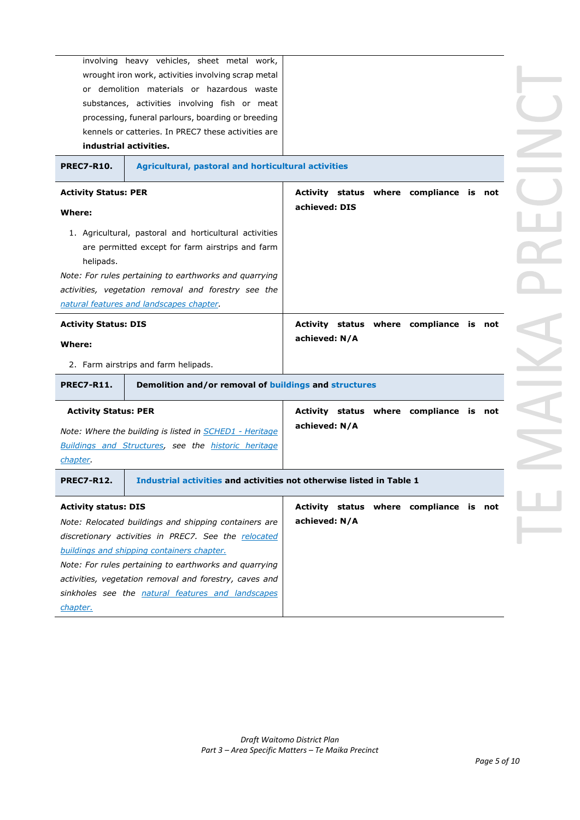|                                                     | involving heavy vehicles, sheet metal work,                          |                                         |  |  |  |
|-----------------------------------------------------|----------------------------------------------------------------------|-----------------------------------------|--|--|--|
| wrought iron work, activities involving scrap metal |                                                                      |                                         |  |  |  |
| or demolition materials or hazardous waste          |                                                                      |                                         |  |  |  |
|                                                     | substances, activities involving fish or meat                        |                                         |  |  |  |
| processing, funeral parlours, boarding or breeding  |                                                                      |                                         |  |  |  |
| kennels or catteries. In PREC7 these activities are |                                                                      |                                         |  |  |  |
|                                                     | industrial activities.                                               |                                         |  |  |  |
| <b>PREC7-R10.</b>                                   | Agricultural, pastoral and horticultural activities                  |                                         |  |  |  |
| <b>Activity Status: PER</b>                         |                                                                      | Activity status where compliance is not |  |  |  |
| Where:                                              |                                                                      | achieved: DIS                           |  |  |  |
|                                                     |                                                                      |                                         |  |  |  |
|                                                     | 1. Agricultural, pastoral and horticultural activities               |                                         |  |  |  |
|                                                     | are permitted except for farm airstrips and farm                     |                                         |  |  |  |
| helipads.                                           |                                                                      |                                         |  |  |  |
|                                                     | Note: For rules pertaining to earthworks and quarrying               |                                         |  |  |  |
|                                                     | activities, vegetation removal and forestry see the                  |                                         |  |  |  |
|                                                     | natural features and landscapes chapter.                             |                                         |  |  |  |
| <b>Activity Status: DIS</b>                         |                                                                      | Activity status where compliance is not |  |  |  |
| Where:                                              |                                                                      |                                         |  |  |  |
|                                                     |                                                                      | achieved: N/A                           |  |  |  |
|                                                     | 2. Farm airstrips and farm helipads.                                 |                                         |  |  |  |
| <b>PREC7-R11.</b>                                   | Demolition and/or removal of buildings and structures                |                                         |  |  |  |
| <b>Activity Status: PER</b>                         |                                                                      | Activity status where compliance is not |  |  |  |
|                                                     | Note: Where the building is listed in <b>SCHED1</b> - Heritage       | achieved: N/A                           |  |  |  |
|                                                     | Buildings and Structures, see the historic heritage                  |                                         |  |  |  |
| chapter.                                            |                                                                      |                                         |  |  |  |
| <b>PREC7-R12.</b>                                   | Industrial activities and activities not otherwise listed in Table 1 |                                         |  |  |  |
| <b>Activity status: DIS</b>                         |                                                                      | Activity status where compliance is not |  |  |  |
|                                                     | Note: Relocated buildings and shipping containers are                | achieved: N/A                           |  |  |  |
|                                                     | discretionary activities in PREC7. See the relocated                 |                                         |  |  |  |
|                                                     | buildings and shipping containers chapter.                           |                                         |  |  |  |
|                                                     | Note: For rules pertaining to earthworks and quarrying               |                                         |  |  |  |
|                                                     | activities, vegetation removal and forestry, caves and               |                                         |  |  |  |
|                                                     | sinkholes see the natural features and landscapes                    |                                         |  |  |  |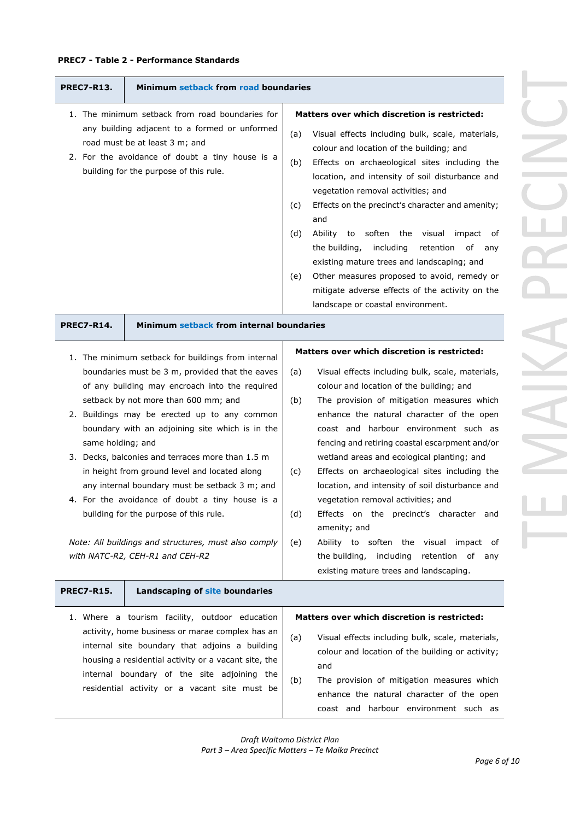# **PREC7 - Table 2 - Performance Standards**

| <b>PREC7-R13.</b>                                                                                                                                                                                                                                                                                                                                                                                                                                                                                                                                                                                                                                                      | Minimum setback from road boundaries                                                                                                                                                                                                                                                                        |                                                                                                                                                                                                                                                                                                                                                                                                                                                                                                                                                                                                                                                                                                                                                             |  |
|------------------------------------------------------------------------------------------------------------------------------------------------------------------------------------------------------------------------------------------------------------------------------------------------------------------------------------------------------------------------------------------------------------------------------------------------------------------------------------------------------------------------------------------------------------------------------------------------------------------------------------------------------------------------|-------------------------------------------------------------------------------------------------------------------------------------------------------------------------------------------------------------------------------------------------------------------------------------------------------------|-------------------------------------------------------------------------------------------------------------------------------------------------------------------------------------------------------------------------------------------------------------------------------------------------------------------------------------------------------------------------------------------------------------------------------------------------------------------------------------------------------------------------------------------------------------------------------------------------------------------------------------------------------------------------------------------------------------------------------------------------------------|--|
|                                                                                                                                                                                                                                                                                                                                                                                                                                                                                                                                                                                                                                                                        | 1. The minimum setback from road boundaries for<br>any building adjacent to a formed or unformed<br>road must be at least 3 m; and<br>2. For the avoidance of doubt a tiny house is a<br>building for the purpose of this rule.                                                                             | Matters over which discretion is restricted:<br>Visual effects including bulk, scale, materials,<br>(a)<br>colour and location of the building; and<br>(b)<br>Effects on archaeological sites including the<br>location, and intensity of soil disturbance and<br>vegetation removal activities; and<br>Effects on the precinct's character and amenity;<br>(C)<br>and<br>Ability to soften the visual<br>impact of<br>(d)<br>the building,<br>including<br>retention<br>of any<br>existing mature trees and landscaping; and<br>Other measures proposed to avoid, remedy or<br>(e)<br>mitigate adverse effects of the activity on the<br>landscape or coastal environment.                                                                                 |  |
| <b>PREC7-R14.</b>                                                                                                                                                                                                                                                                                                                                                                                                                                                                                                                                                                                                                                                      | Minimum setback from internal boundaries                                                                                                                                                                                                                                                                    |                                                                                                                                                                                                                                                                                                                                                                                                                                                                                                                                                                                                                                                                                                                                                             |  |
| 1. The minimum setback for buildings from internal<br>boundaries must be 3 m, provided that the eaves<br>of any building may encroach into the required<br>setback by not more than 600 mm; and<br>2. Buildings may be erected up to any common<br>boundary with an adjoining site which is in the<br>same holding; and<br>3. Decks, balconies and terraces more than 1.5 m<br>in height from ground level and located along<br>any internal boundary must be setback 3 m; and<br>4. For the avoidance of doubt a tiny house is a<br>building for the purpose of this rule.<br>Note: All buildings and structures, must also comply<br>with NATC-R2, CEH-R1 and CEH-R2 |                                                                                                                                                                                                                                                                                                             | Matters over which discretion is restricted:<br>Visual effects including bulk, scale, materials,<br>(a)<br>colour and location of the building; and<br>The provision of mitigation measures which<br>(b)<br>enhance the natural character of the open<br>coast and harbour environment such as<br>fencing and retiring coastal escarpment and/or<br>wetland areas and ecological planting; and<br>Effects on archaeological sites including the<br>(c)<br>location, and intensity of soil disturbance and<br>vegetation removal activities; and<br>(d)<br>Effects on the precinct's character and<br>amenity; and<br>Ability to soften the visual impact of<br>(e)<br>the building, including<br>retention of any<br>existing mature trees and landscaping. |  |
| <b>PREC7-R15.</b>                                                                                                                                                                                                                                                                                                                                                                                                                                                                                                                                                                                                                                                      | Landscaping of site boundaries                                                                                                                                                                                                                                                                              |                                                                                                                                                                                                                                                                                                                                                                                                                                                                                                                                                                                                                                                                                                                                                             |  |
|                                                                                                                                                                                                                                                                                                                                                                                                                                                                                                                                                                                                                                                                        | 1. Where a tourism facility, outdoor education<br>activity, home business or marae complex has an<br>internal site boundary that adjoins a building<br>housing a residential activity or a vacant site, the<br>internal boundary of the site adjoining the<br>residential activity or a vacant site must be | Matters over which discretion is restricted:<br>(a)<br>Visual effects including bulk, scale, materials,<br>colour and location of the building or activity;<br>and<br>The provision of mitigation measures which<br>(b)<br>enhance the natural character of the open<br>coast and harbour environment such as                                                                                                                                                                                                                                                                                                                                                                                                                                               |  |

 $\sim$  $\geq$ VIAINA PR  $\sim 100$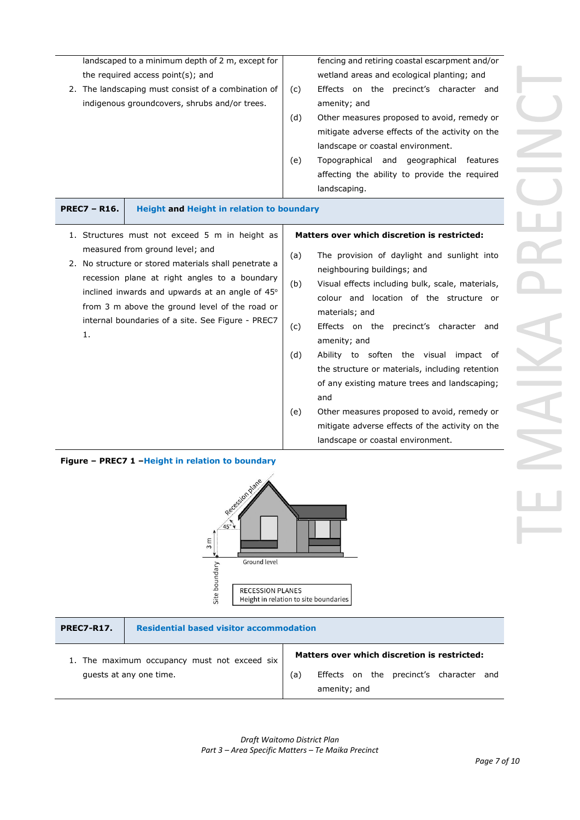| landscaped to a minimum depth of 2 m, except for      |                                                     |     | fencing and retiring coastal escarpment and/or  |
|-------------------------------------------------------|-----------------------------------------------------|-----|-------------------------------------------------|
| the required access point $(s)$ ; and                 |                                                     |     | wetland areas and ecological planting; and      |
|                                                       | 2. The landscaping must consist of a combination of |     | precinct's character and<br>Effects on the      |
| indigenous groundcovers, shrubs and/or trees.         |                                                     |     | amenity; and                                    |
|                                                       |                                                     | (d) | Other measures proposed to avoid, remedy or     |
|                                                       |                                                     |     | mitigate adverse effects of the activity on the |
|                                                       |                                                     |     | landscape or coastal environment.               |
|                                                       |                                                     | (e) | Topographical and geographical<br>features      |
|                                                       |                                                     |     | affecting the ability to provide the required   |
|                                                       |                                                     |     | landscaping.                                    |
| <b>PREC7 - R16.</b>                                   | <b>Height and Height in relation to boundary</b>    |     |                                                 |
|                                                       | 1. Structures must not exceed 5 m in height as      |     | Matters over which discretion is restricted:    |
|                                                       | measured from ground level; and                     | (a) | The provision of daylight and sunlight into     |
| 2. No structure or stored materials shall penetrate a |                                                     |     |                                                 |

- recession plane at right angles to a boundary inclined inwards and upwards at an angle of  $45^\circ$ from 3 m above the ground level of the road or internal boundaries of a site. See Figure - PREC7 1.
- neighbouring buildings; and
- (b) Visual effects including bulk, scale, materials, colour and location of the structure or materials; and
- (c) Effects on the precinct's character and amenity; and
- (d) Ability to soften the visual impact of the structure or materials, including retention of any existing mature trees and landscaping; and
- (e) Other measures proposed to avoid, remedy or mitigate adverse effects of the activity on the landscape or coastal environment.





|                                              | <b>Residential based visitor accommodation</b>          |  |  |
|----------------------------------------------|---------------------------------------------------------|--|--|
| 1. The maximum occupancy must not exceed six | Matters over which discretion is restricted:            |  |  |
| (a)<br>quests at any one time.               | Effects on the precinct's character and<br>amenity; and |  |  |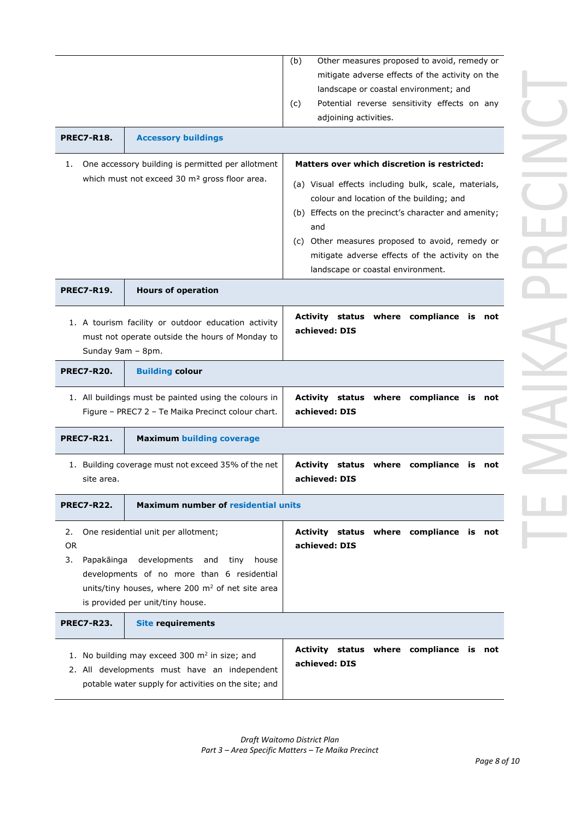| <b>PREC7-R18.</b><br><b>Accessory buildings</b><br>One accessory building is permitted per allotment<br>1.<br>which must not exceed 30 m <sup>2</sup> gross floor area. |                                                                                                                                                                                                                     | Other measures proposed to avoid, remedy or<br>(b)<br>mitigate adverse effects of the activity on the<br>landscape or coastal environment; and<br>(c)<br>Potential reverse sensitivity effects on any<br>adjoining activities.<br>Matters over which discretion is restricted:<br>(a) Visual effects including bulk, scale, materials,<br>colour and location of the building; and |
|-------------------------------------------------------------------------------------------------------------------------------------------------------------------------|---------------------------------------------------------------------------------------------------------------------------------------------------------------------------------------------------------------------|------------------------------------------------------------------------------------------------------------------------------------------------------------------------------------------------------------------------------------------------------------------------------------------------------------------------------------------------------------------------------------|
|                                                                                                                                                                         |                                                                                                                                                                                                                     | (b) Effects on the precinct's character and amenity;<br>and<br>(c) Other measures proposed to avoid, remedy or<br>mitigate adverse effects of the activity on the<br>landscape or coastal environment.                                                                                                                                                                             |
| <b>PREC7-R19.</b>                                                                                                                                                       | <b>Hours of operation</b>                                                                                                                                                                                           |                                                                                                                                                                                                                                                                                                                                                                                    |
| Sunday 9am - 8pm.                                                                                                                                                       | 1. A tourism facility or outdoor education activity<br>must not operate outside the hours of Monday to                                                                                                              | Activity status where compliance is not<br>achieved: DIS                                                                                                                                                                                                                                                                                                                           |
| <b>PREC7-R20.</b>                                                                                                                                                       | <b>Building colour</b>                                                                                                                                                                                              |                                                                                                                                                                                                                                                                                                                                                                                    |
| 1. All buildings must be painted using the colours in<br>Figure - PREC7 2 - Te Maika Precinct colour chart.                                                             |                                                                                                                                                                                                                     | Activity status where compliance is not<br>achieved: DIS                                                                                                                                                                                                                                                                                                                           |
| <b>PREC7-R21.</b>                                                                                                                                                       | <b>Maximum building coverage</b>                                                                                                                                                                                    |                                                                                                                                                                                                                                                                                                                                                                                    |
| 1. Building coverage must not exceed 35% of the net<br>site area.                                                                                                       |                                                                                                                                                                                                                     | Activity status where compliance is not<br>achieved: DIS                                                                                                                                                                                                                                                                                                                           |
| <b>PREC7-R22.</b>                                                                                                                                                       | Maximum number of residential units                                                                                                                                                                                 |                                                                                                                                                                                                                                                                                                                                                                                    |
| 2.<br>OR.<br>Papakāinga<br>3.                                                                                                                                           | One residential unit per allotment;<br>developments<br>tiny<br>house<br>and<br>developments of no more than 6 residential<br>units/tiny houses, where 200 $m2$ of net site area<br>is provided per unit/tiny house. | Activity status where compliance is not<br>achieved: DIS                                                                                                                                                                                                                                                                                                                           |
| <b>PREC7-R23.</b>                                                                                                                                                       | <b>Site requirements</b>                                                                                                                                                                                            |                                                                                                                                                                                                                                                                                                                                                                                    |
|                                                                                                                                                                         | 1. No building may exceed 300 m <sup>2</sup> in size; and<br>2. All developments must have an independent<br>potable water supply for activities on the site; and                                                   | Activity status where compliance is not<br>achieved: DIS                                                                                                                                                                                                                                                                                                                           |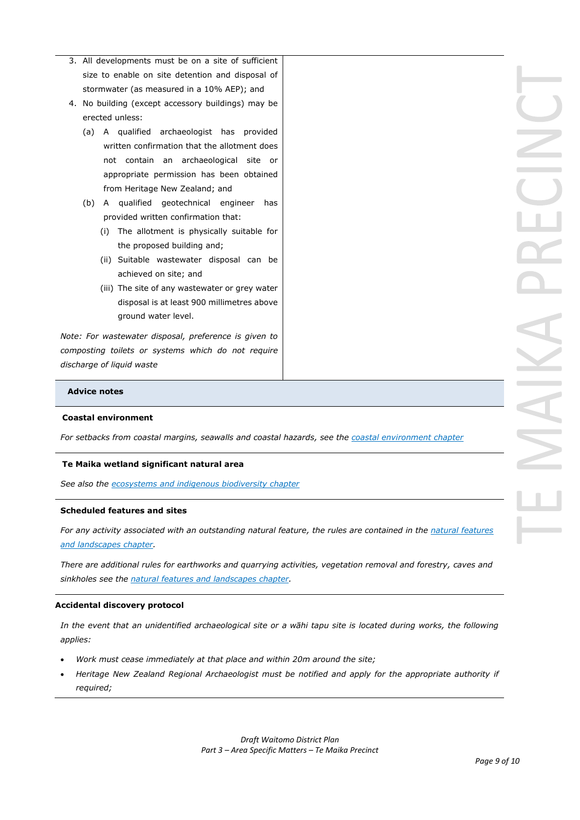- 3. All developments must be on a site of sufficient size to enable on site detention and disposal of stormwater (as measured in a 10% AEP); and
- 4. No building (except accessory buildings) may be erected unless:
	- (a) A qualified archaeologist has provided written confirmation that the allotment does not contain an archaeological site or appropriate permission has been obtained from Heritage New Zealand; and
	- (b) A qualified geotechnical engineer has provided written confirmation that:
		- (i) The allotment is physically suitable for the proposed building and;
		- (ii) Suitable wastewater disposal can be achieved on site; and
		- (iii) The site of any wastewater or grey water disposal is at least 900 millimetres above ground water level.

*Note: For wastewater disposal, preference is given to composting toilets or systems which do not require discharge of liquid waste*

### **Advice notes**

### **Coastal environment**

*For setbacks from coastal margins, seawalls and coastal hazards, see the coastal environment chapter*

### **Te Maika wetland significant natural area**

*See also the ecosystems and indigenous biodiversity chapter*

### **Scheduled features and sites**

*For any activity associated with an outstanding natural feature, the rules are contained in the natural features and landscapes chapter.*

*There are additional rules for earthworks and quarrying activities, vegetation removal and forestry, caves and sinkholes see the natural features and landscapes chapter.*

### **Accidental discovery protocol**

*In the event that an unidentified archaeological site or a wāhi tapu site is located during works, the following applies:*

- *Work must cease immediately at that place and within 20m around the site;*
- *Heritage New Zealand Regional Archaeologist must be notified and apply for the appropriate authority if required;*